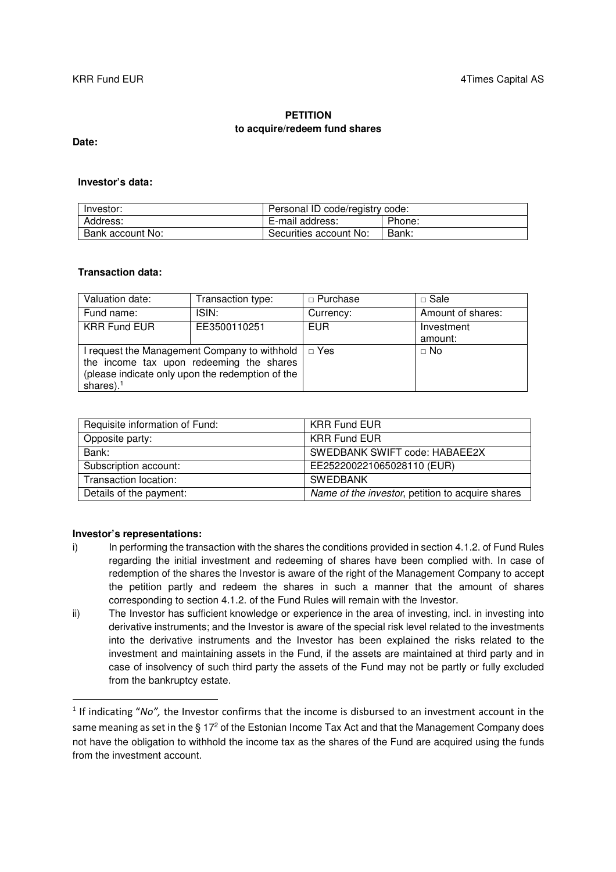## **PETITION to acquire/redeem fund shares**

**Date:** 

### **Investor's data:**

| Investor:        | Personal ID code/registry code: |        |
|------------------|---------------------------------|--------|
| Address:         | E-mail address:                 | Phone: |
| Bank account No: | Securities account No:          | Bank:  |

# **Transaction data:**

| Valuation date:                                           | Transaction type: | $\Box$ Purchase | $\Box$ Sale       |
|-----------------------------------------------------------|-------------------|-----------------|-------------------|
| Fund name:                                                | ISIN:             | Currency:       | Amount of shares: |
| <b>KRR Fund EUR</b>                                       | EE3500110251      | <b>EUR</b>      | Investment        |
|                                                           |                   |                 | amount:           |
| I request the Management Company to withhold $  \Box$ Yes |                   |                 | $\Box$ No         |
| the income tax upon redeeming the shares                  |                   |                 |                   |
| (please indicate only upon the redemption of the          |                   |                 |                   |
| shares). $1$                                              |                   |                 |                   |

| Requisite information of Fund: | <b>KRR Fund EUR</b>                              |
|--------------------------------|--------------------------------------------------|
| Opposite party:                | <b>KRR Fund EUR</b>                              |
| Bank:                          | SWEDBANK SWIFT code: HABAEE2X                    |
| Subscription account:          | EE252200221065028110 (EUR)                       |
| Transaction location:          | <b>SWEDBANK</b>                                  |
| Details of the payment:        | Name of the investor, petition to acquire shares |

#### **Investor's representations:**

<u>.</u>

- i) In performing the transaction with the shares the conditions provided in section 4.1.2. of Fund Rules regarding the initial investment and redeeming of shares have been complied with. In case of redemption of the shares the Investor is aware of the right of the Management Company to accept the petition partly and redeem the shares in such a manner that the amount of shares corresponding to section 4.1.2. of the Fund Rules will remain with the Investor.
- ii) The Investor has sufficient knowledge or experience in the area of investing, incl. in investing into derivative instruments; and the Investor is aware of the special risk level related to the investments into the derivative instruments and the Investor has been explained the risks related to the investment and maintaining assets in the Fund, if the assets are maintained at third party and in case of insolvency of such third party the assets of the Fund may not be partly or fully excluded from the bankruptcy estate.

 $1$  If indicating "No", the Investor confirms that the income is disbursed to an investment account in the same meaning as set in the  $\S 17^2$  of the Estonian Income Tax Act and that the Management Company does not have the obligation to withhold the income tax as the shares of the Fund are acquired using the funds from the investment account.